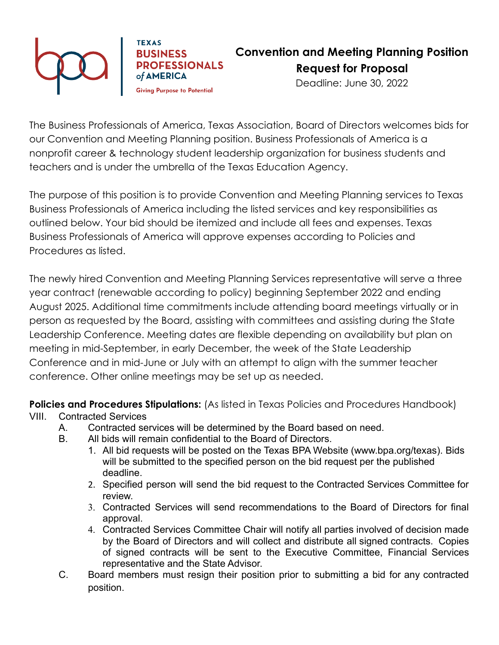

**TEXAS BUSINESS PROFESSIONALS** of AMERICA

**Convention and Meeting Planning Position Request for Proposal**

Deadline: June 30, 2022

**Giving Purpose to Potential** 

The Business Professionals of America, Texas Association, Board of Directors welcomes bids for our Convention and Meeting Planning position. Business Professionals of America is a nonprofit career & technology student leadership organization for business students and teachers and is under the umbrella of the Texas Education Agency.

The purpose of this position is to provide Convention and Meeting Planning services to Texas Business Professionals of America including the listed services and key responsibilities as outlined below. Your bid should be itemized and include all fees and expenses. Texas Business Professionals of America will approve expenses according to Policies and Procedures as listed.

The newly hired Convention and Meeting Planning Services representative will serve a three year contract (renewable according to policy) beginning September 2022 and ending August 2025. Additional time commitments include attending board meetings virtually or in person as requested by the Board, assisting with committees and assisting during the State Leadership Conference. Meeting dates are flexible depending on availability but plan on meeting in mid-September, in early December, the week of the State Leadership Conference and in mid-June or July with an attempt to align with the summer teacher conference. Other online meetings may be set up as needed.

**Policies and Procedures Stipulations:** (As listed in Texas Policies and Procedures Handbook)

- VIII. Contracted Services
	- A. Contracted services will be determined by the Board based on need.
	- B. All bids will remain confidential to the Board of Directors.
		- 1. All bid requests will be posted on the Texas BPA Website (www.bpa.org/texas). Bids will be submitted to the specified person on the bid request per the published deadline.
		- 2. Specified person will send the bid request to the Contracted Services Committee for review.
		- 3. Contracted Services will send recommendations to the Board of Directors for final approval.
		- 4. Contracted Services Committee Chair will notify all parties involved of decision made by the Board of Directors and will collect and distribute all signed contracts. Copies of signed contracts will be sent to the Executive Committee, Financial Services representative and the State Advisor.
	- C. Board members must resign their position prior to submitting a bid for any contracted position.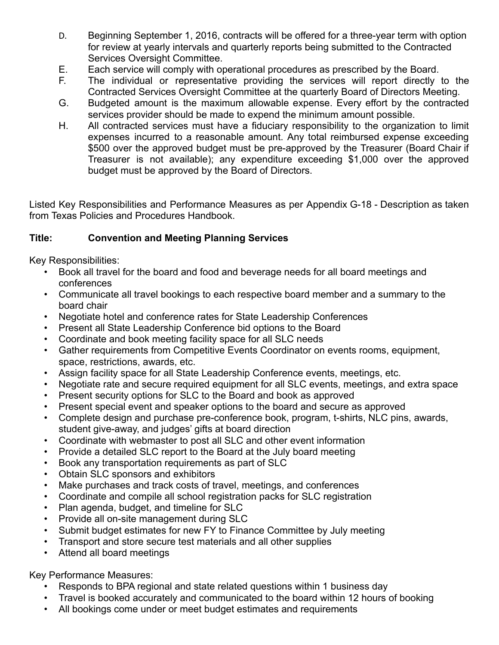- D. Beginning September 1, 2016, contracts will be offered for a three-year term with option for review at yearly intervals and quarterly reports being submitted to the Contracted Services Oversight Committee.
- E. Each service will comply with operational procedures as prescribed by the Board.
- F. The individual or representative providing the services will report directly to the Contracted Services Oversight Committee at the quarterly Board of Directors Meeting.
- G. Budgeted amount is the maximum allowable expense. Every effort by the contracted services provider should be made to expend the minimum amount possible.
- H. All contracted services must have a fiduciary responsibility to the organization to limit expenses incurred to a reasonable amount. Any total reimbursed expense exceeding \$500 over the approved budget must be pre-approved by the Treasurer (Board Chair if Treasurer is not available); any expenditure exceeding \$1,000 over the approved budget must be approved by the Board of Directors.

Listed Key Responsibilities and Performance Measures as per Appendix G-18 - Description as taken from Texas Policies and Procedures Handbook.

## **Title: Convention and Meeting Planning Services**

Key Responsibilities:

- Book all travel for the board and food and beverage needs for all board meetings and conferences
- Communicate all travel bookings to each respective board member and a summary to the board chair
- Negotiate hotel and conference rates for State Leadership Conferences
- Present all State Leadership Conference bid options to the Board
- Coordinate and book meeting facility space for all SLC needs
- Gather requirements from Competitive Events Coordinator on events rooms, equipment, space, restrictions, awards, etc.
- Assign facility space for all State Leadership Conference events, meetings, etc.
- Negotiate rate and secure required equipment for all SLC events, meetings, and extra space
- Present security options for SLC to the Board and book as approved
- Present special event and speaker options to the board and secure as approved
- Complete design and purchase pre-conference book, program, t-shirts, NLC pins, awards, student give-away, and judges' gifts at board direction
- Coordinate with webmaster to post all SLC and other event information
- Provide a detailed SLC report to the Board at the July board meeting
- Book any transportation requirements as part of SLC
- Obtain SLC sponsors and exhibitors
- Make purchases and track costs of travel, meetings, and conferences
- Coordinate and compile all school registration packs for SLC registration
- Plan agenda, budget, and timeline for SLC
- Provide all on-site management during SLC
- Submit budget estimates for new FY to Finance Committee by July meeting
- Transport and store secure test materials and all other supplies
- Attend all board meetings

Key Performance Measures:

- Responds to BPA regional and state related questions within 1 business day
- Travel is booked accurately and communicated to the board within 12 hours of booking
- All bookings come under or meet budget estimates and requirements